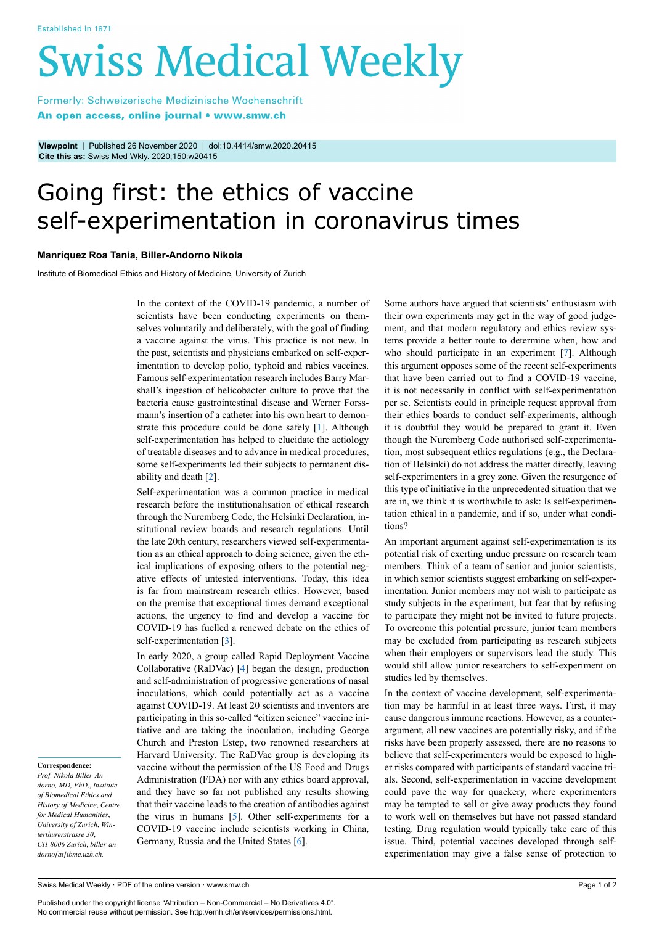# **Swiss Medical Weekly**

Formerly: Schweizerische Medizinische Wochenschrift An open access, online journal • www.smw.ch

**Viewpoint** | Published 26 November 2020 | doi:10.4414/smw.2020.20415 **Cite this as:** Swiss Med Wkly. 2020;150:w20415

# Going first: the ethics of vaccine self-experimentation in coronavirus times

# **Manríquez Roa Tania, Biller-Andorno Nikola**

Institute of Biomedical Ethics and History of Medicine, University of Zurich

In the context of the COVID-19 pandemic, a number of scientists have been conducting experiments on themselves voluntarily and deliberately, with the goal of finding a vaccine against the virus. This practice is not new. In the past, scientists and physicians embarked on self-experimentation to develop polio, typhoid and rabies vaccines. Famous self-experimentation research includes Barry Marshall's ingestion of helicobacter culture to prove that the bacteria cause gastrointestinal disease and Werner Forssmann's insertion of a catheter into his own heart to demonstrate this procedure could be done safely [[1](#page-1-0)]. Although self-experimentation has helped to elucidate the aetiology of treatable diseases and to advance in medical procedures, some self-experiments led their subjects to permanent disability and death [[2](#page-1-1)].

Self-experimentation was a common practice in medical research before the institutionalisation of ethical research through the Nuremberg Code, the Helsinki Declaration, institutional review boards and research regulations. Until the late 20th century, researchers viewed self-experimentation as an ethical approach to doing science, given the ethical implications of exposing others to the potential negative effects of untested interventions. Today, this idea is far from mainstream research ethics. However, based on the premise that exceptional times demand exceptional actions, the urgency to find and develop a vaccine for COVID-19 has fuelled a renewed debate on the ethics of self-experimentation [\[3\]](#page-1-2).

In early 2020, a group called Rapid Deployment Vaccine Collaborative (RaDVac) [[4](#page-1-3)] began the design, production and self-administration of progressive generations of nasal inoculations, which could potentially act as a vaccine against COVID-19. At least 20 scientists and inventors are participating in this so-called "citizen science" vaccine initiative and are taking the inoculation, including George Church and Preston Estep, two renowned researchers at Harvard University. The RaDVac group is developing its vaccine without the permission of the US Food and Drugs Administration (FDA) nor with any ethics board approval, and they have so far not published any results showing that their vaccine leads to the creation of antibodies against the virus in humans  $[5]$ . Other self-experiments for a COVID-19 vaccine include scientists working in China, Germany, Russia and the United States [\[6\]](#page-1-5).

Some authors have argued that scientists' enthusiasm with their own experiments may get in the way of good judgement, and that modern regulatory and ethics review systems provide a better route to determine when, how and who should participate in an experiment [\[7\]](#page-1-6). Although this argument opposes some of the recent self-experiments that have been carried out to find a COVID-19 vaccine, it is not necessarily in conflict with self-experimentation per se. Scientists could in principle request approval from their ethics boards to conduct self-experiments, although it is doubtful they would be prepared to grant it. Even though the Nuremberg Code authorised self-experimentation, most subsequent ethics regulations (e.g., the Declaration of Helsinki) do not address the matter directly, leaving self-experimenters in a grey zone. Given the resurgence of this type of initiative in the unprecedented situation that we are in, we think it is worthwhile to ask: Is self-experimentation ethical in a pandemic, and if so, under what conditions?

An important argument against self-experimentation is its potential risk of exerting undue pressure on research team members. Think of a team of senior and junior scientists, in which senior scientists suggest embarking on self-experimentation. Junior members may not wish to participate as study subjects in the experiment, but fear that by refusing to participate they might not be invited to future projects. To overcome this potential pressure, junior team members may be excluded from participating as research subjects when their employers or supervisors lead the study. This would still allow junior researchers to self-experiment on studies led by themselves.

In the context of vaccine development, self-experimentation may be harmful in at least three ways. First, it may cause dangerous immune reactions. However, as a counterargument, all new vaccines are potentially risky, and if the risks have been properly assessed, there are no reasons to believe that self-experimenters would be exposed to higher risks compared with participants of standard vaccine trials. Second, self-experimentation in vaccine development could pave the way for quackery, where experimenters may be tempted to sell or give away products they found to work well on themselves but have not passed standard testing. Drug regulation would typically take care of this issue. Third, potential vaccines developed through selfexperimentation may give a false sense of protection to

### **Correspondence:**

*Prof. Nikola Biller-Andorno, MD, PhD,*, *Institute of Biomedical Ethics and History of Medicine*, *Centre for Medical Humanities*, *University of Zurich*, *Winterthurerstrasse 30*, *CH-8006 Zurich*, *biller-andorno[at]ibme.uzh.ch.*

Published under the copyright license "Attribution – Non-Commercial – No Derivatives 4.0". No commercial reuse without permission. See http://emh.ch/en/services/permissions.html.